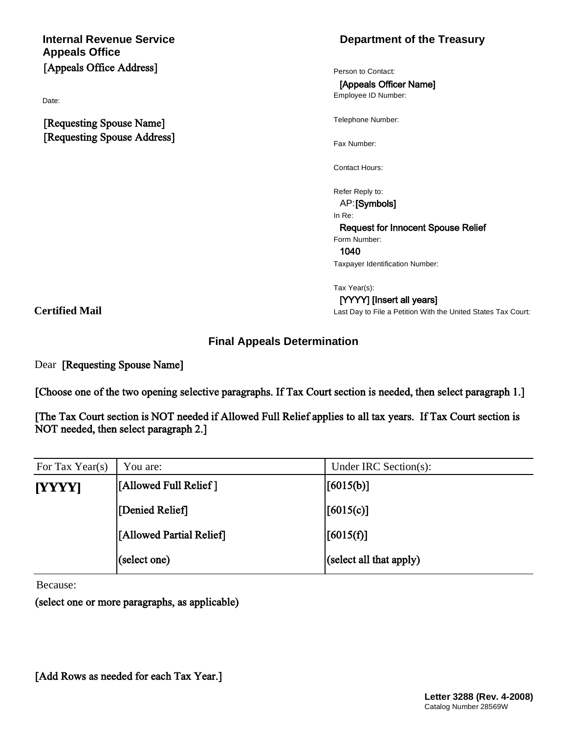# **Appeals Office**  $[Appeals$  Office Address]

Date:

**TRequesting Spouse Name] [Requesting Spouse Address]** 

## **Internal Revenue Service Department** of the Treasury

Person to Contact:

**[Appeals Officer Name]** 

Employee ID Number:

Telephone Number:

Fax Number:

Contact Hours:

Refer Reply to:

AP:**[Symbols]** 

In Re:

**Request for Innocent Spouse Relief** 

Form Number:

**ÔðÏð**

Taxpayer Identification Number:

Tax Year(s):

Last Day to File a Petition With the United States Tax Court:  $[YYYY]$  [Insert all years]

# **Certified Mail**

#### **Final Appeals Determination**

Dear [Requesting Spouse Name]

[Choose one of the two opening selective paragraphs. If Tax Court section is needed, then select paragraph 1.]

[The Tax Court section is NOT needed if Allowed Full Relief applies to all tax years. If Tax Court section is **NOT** needed, then select paragraph 2.]

| For Tax Year(s) | You are:                 | Under IRC Section(s):   |
|-----------------|--------------------------|-------------------------|
| [YYYY]          | [Allowed Full Relief]    | [6015(b)]               |
|                 | [Denied Relief]          | [6015(c)]               |
|                 | [Allowed Partial Relief] | [6015(f)]               |
|                 | $ $ (select one)         | (select all that apply) |

Because:

(select one or more paragraphs, as applicable)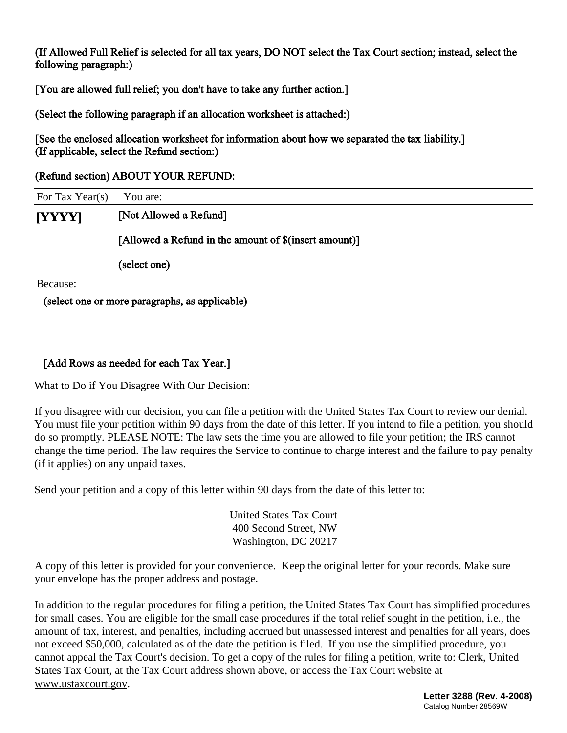(If Allowed Full Relief is selected for all tax years, DO NOT select the Tax Court section; instead, select the following paragraph:)

**[You are allowed full relief; you don't have to take any further action.]** 

 $S(\text{Select the following paragraph if an allocation worksheet is attached.)}$ 

**See the enclosed allocation worksheet for information about how we separated the tax liability.**  $(Tf$  **applicable, select the Refund section:)** 

#### **(Refund section) ABOUT YOUR REFUND:**

| For Tax Year(s) | You are:                                              |  |
|-----------------|-------------------------------------------------------|--|
| <b>[YYYY]</b>   | [Not Allowed a Refund]                                |  |
|                 | [Allowed a Refund in the amount of \$(insert amount)] |  |
|                 | $ $ (select one)                                      |  |

Because:

 $\epsilon$  **select one or more paragraphs, as applicable)** 

### **[Add Rows as needed for each Tax Year.]**

What to Do if You Disagree With Our Decision:

If you disagree with our decision, you can file a petition with the United States Tax Court to review our denial. You must file your petition within 90 days from the date of this letter. If you intend to file a petition, you should do so promptly. PLEASE NOTE: The law sets the time you are allowed to file your petition; the IRS cannot change the time period. The law requires the Service to continue to charge interest and the failure to pay penalty (if it applies) on any unpaid taxes.

Send your petition and a copy of this letter within 90 days from the date of this letter to:

United States Tax Court 400 Second Street, NW Washington, DC 20217

A copy of this letter is provided for your convenience. Keep the original letter for your records. Make sure your envelope has the proper address and postage.

In addition to the regular procedures for filing a petition, the United States Tax Court has simplified procedures for small cases. You are eligible for the small case procedures if the total relief sought in the petition, i.e., the amount of tax, interest, and penalties, including accrued but unassessed interest and penalties for all years, does not exceed \$50,000, calculated as of the date the petition is filed. If you use the simplified procedure, you cannot appeal the Tax Court's decision. To get a copy of the rules for filing a petition, write to: Clerk, United States Tax Court, at the Tax Court address shown above, or access the Tax Court website at [www.ustaxcourt.gov.](http://www.ustaxcourt.gov)